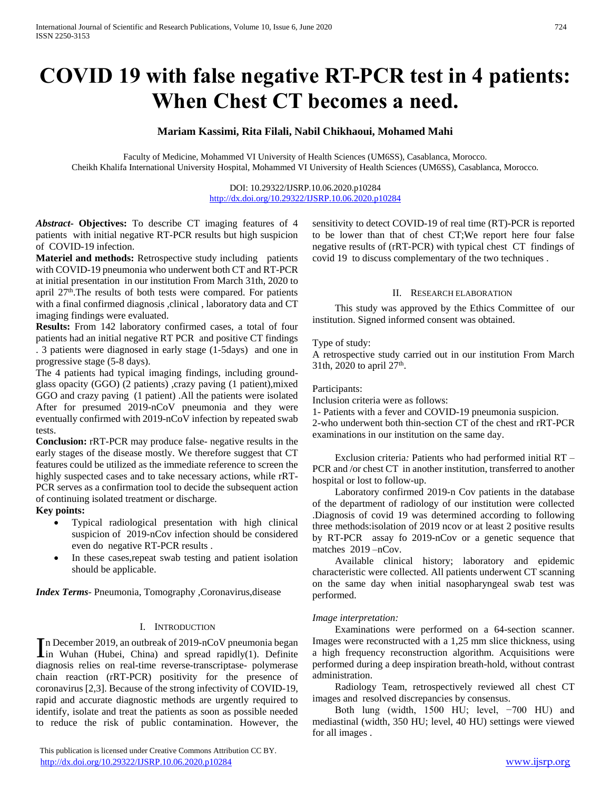# **COVID 19 with false negative RT-PCR test in 4 patients: When Chest CT becomes a need.**

# **Mariam Kassimi, Rita Filali, Nabil Chikhaoui, Mohamed Mahi**

Faculty of Medicine, Mohammed VI University of Health Sciences (UM6SS), Casablanca, Morocco. Cheikh Khalifa International University Hospital, Mohammed VI University of Health Sciences (UM6SS), Casablanca, Morocco.

> DOI: 10.29322/IJSRP.10.06.2020.p10284 <http://dx.doi.org/10.29322/IJSRP.10.06.2020.p10284>

*Abstract***- Objectives:** To describe CT imaging features of 4 patients with initial negative RT-PCR results but high suspicion of COVID-19 infection.

**Materiel and methods:** Retrospective study including patients with COVID-19 pneumonia who underwent both CT and RT-PCR at initial presentation in our institution From March 31th, 2020 to april  $27<sup>th</sup>$ . The results of both tests were compared. For patients with a final confirmed diagnosis ,clinical , laboratory data and CT imaging findings were evaluated.

**Results:** From 142 laboratory confirmed cases, a total of four patients had an initial negative RT PCR and positive CT findings . 3 patients were diagnosed in early stage (1-5days) and one in progressive stage (5-8 days).

The 4 patients had typical imaging findings, including groundglass opacity (GGO) (2 patients) ,crazy paving (1 patient),mixed GGO and crazy paving (1 patient) .All the patients were isolated After for presumed 2019-nCoV pneumonia and they were eventually confirmed with 2019-nCoV infection by repeated swab tests.

**Conclusion:** rRT-PCR may produce false- negative results in the early stages of the disease mostly. We therefore suggest that CT features could be utilized as the immediate reference to screen the highly suspected cases and to take necessary actions, while rRT-PCR serves as a confirmation tool to decide the subsequent action of continuing isolated treatment or discharge.

**Key points:** 

- Typical radiological presentation with high clinical suspicion of 2019-nCov infection should be considered even do negative RT-PCR results .
- In these cases,repeat swab testing and patient isolation should be applicable.

*Index Terms*- Pneumonia, Tomography ,Coronavirus,disease

## I. INTRODUCTION

n December 2019, an outbreak of 2019-nCoV pneumonia began In December 2019, an outbreak of 2019-nCoV pneumonia began<br>in Wuhan (Hubei, China) and spread rapidly(1). Definite diagnosis relies on real-time reverse-transcriptase- polymerase chain reaction (rRT-PCR) positivity for the presence of coronavirus [2,3]. Because of the strong infectivity of COVID-19, rapid and accurate diagnostic methods are urgently required to identify, isolate and treat the patients as soon as possible needed to reduce the risk of public contamination. However, the

sensitivity to detect COVID-19 of real time (RT)-PCR is reported to be lower than that of chest CT;We report here four false negative results of (rRT-PCR) with typical chest CT findings of covid 19 to discuss complementary of the two techniques .

#### II. RESEARCH ELABORATION

 This study was approved by the Ethics Committee of our institution. Signed informed consent was obtained.

#### Type of study:

A retrospective study carried out in our institution From March 31th, 2020 to april  $27^{\text{th}}$ .

#### Participants:

Inclusion criteria were as follows:

1- Patients with a fever and COVID-19 pneumonia suspicion. 2-who underwent both thin-section CT of the chest and rRT-PCR examinations in our institution on the same day.

 Exclusion criteria*:* Patients who had performed initial RT – PCR and /or chest CT in another institution, transferred to another hospital or lost to follow-up.

 Laboratory confirmed 2019-n Cov patients in the database of the department of radiology of our institution were collected .Diagnosis of covid 19 was determined according to following three methods:isolation of 2019 ncov or at least 2 positive results by RT-PCR assay fo 2019-nCov or a genetic sequence that matches 2019 –nCov.

 Available clinical history; laboratory and epidemic characteristic were collected. All patients underwent CT scanning on the same day when initial nasopharyngeal swab test was performed.

#### *Image interpretation:*

 Examinations were performed on a 64-section scanner. Images were reconstructed with a 1,25 mm slice thickness, using a high frequency reconstruction algorithm. Acquisitions were performed during a deep inspiration breath-hold, without contrast administration.

 Radiology Team, retrospectively reviewed all chest CT images and resolved discrepancies by consensus.

 Both lung (width, 1500 HU; level, −700 HU) and mediastinal (width, 350 HU; level, 40 HU) settings were viewed for all images .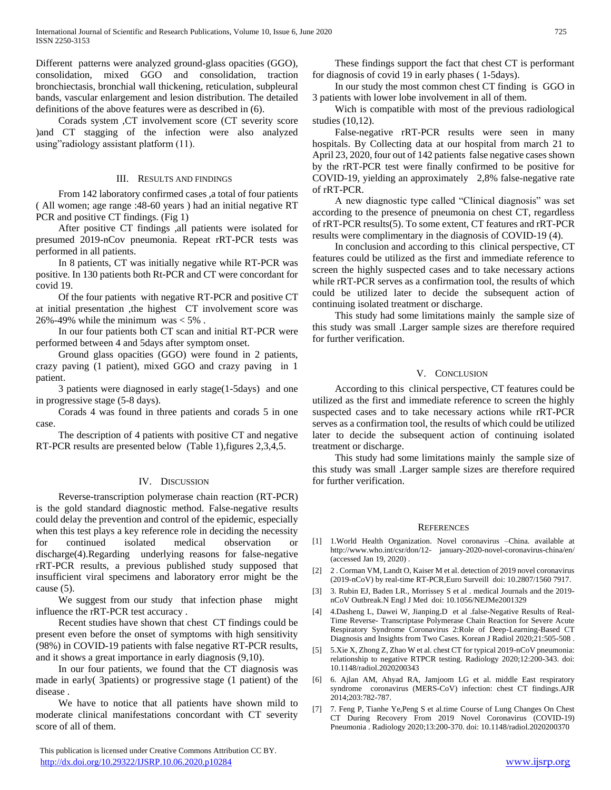Different patterns were analyzed ground-glass opacities (GGO), consolidation, mixed GGO and consolidation, traction bronchiectasis, bronchial wall thickening, reticulation, subpleural bands, vascular enlargement and lesion distribution. The detailed definitions of the above features were as described in (6).

 Corads system ,CT involvement score (CT severity score )and CT stagging of the infection were also analyzed using"radiology assistant platform (11).

### III. RESULTS AND FINDINGS

 From 142 laboratory confirmed cases ,a total of four patients ( All women; age range :48-60 years ) had an initial negative RT PCR and positive CT findings. (Fig 1)

 After positive CT findings ,all patients were isolated for presumed 2019-nCov pneumonia. Repeat rRT-PCR tests was performed in all patients.

 In 8 patients, CT was initially negative while RT-PCR was positive. In 130 patients both Rt-PCR and CT were concordant for covid 19.

 Of the four patients with negative RT-PCR and positive CT at initial presentation ,the highest CT involvement score was 26%-49% while the minimum was  $< 5\%$ .

 In our four patients both CT scan and initial RT-PCR were performed between 4 and 5days after symptom onset.

 Ground glass opacities (GGO) were found in 2 patients, crazy paving (1 patient), mixed GGO and crazy paving in 1 patient.

 3 patients were diagnosed in early stage(1-5days) and one in progressive stage (5-8 days).

 Corads 4 was found in three patients and corads 5 in one case.

 The description of 4 patients with positive CT and negative RT-PCR results are presented below (Table 1),figures 2,3,4,5.

## IV. DISCUSSION

 Reverse-transcription polymerase chain reaction (RT-PCR) is the gold standard diagnostic method. False-negative results could delay the prevention and control of the epidemic, especially when this test plays a key reference role in deciding the necessity for continued isolated medical observation or discharge(4).Regarding underlying reasons for false-negative rRT-PCR results, a previous published study supposed that insufficient viral specimens and laboratory error might be the cause (5).

We suggest from our study that infection phase might influence the rRT-PCR test accuracy .

 Recent studies have shown that chest CT findings could be present even before the onset of symptoms with high sensitivity (98%) in COVID-19 patients with false negative RT-PCR results, and it shows a great importance in early diagnosis (9,10).

 In our four patients, we found that the CT diagnosis was made in early( 3patients) or progressive stage (1 patient) of the disease .

 We have to notice that all patients have shown mild to moderate clinical manifestations concordant with CT severity score of all of them.

 This publication is licensed under Creative Commons Attribution CC BY. <http://dx.doi.org/10.29322/IJSRP.10.06.2020.p10284> [www.ijsrp.org](http://ijsrp.org/)

 These findings support the fact that chest CT is performant for diagnosis of covid 19 in early phases ( 1-5days).

 In our study the most common chest CT finding is GGO in 3 patients with lower lobe involvement in all of them.

 Wich is compatible with most of the previous radiological studies (10,12).

 False-negative rRT-PCR results were seen in many hospitals. By Collecting data at our hospital from march 21 to April 23, 2020, four out of 142 patients false negative cases shown by the rRT-PCR test were finally confirmed to be positive for COVID-19, yielding an approximately 2,8% false-negative rate of rRT-PCR.

 A new diagnostic type called "Clinical diagnosis" was set according to the presence of pneumonia on chest CT, regardless of rRT-PCR results(5). To some extent, CT features and rRT-PCR results were complimentary in the diagnosis of COVID-19 (4).

 In conclusion and according to this clinical perspective, CT features could be utilized as the first and immediate reference to screen the highly suspected cases and to take necessary actions while rRT-PCR serves as a confirmation tool, the results of which could be utilized later to decide the subsequent action of continuing isolated treatment or discharge.

 This study had some limitations mainly the sample size of this study was small .Larger sample sizes are therefore required for further verification.

## V. CONCLUSION

 According to this clinical perspective, CT features could be utilized as the first and immediate reference to screen the highly suspected cases and to take necessary actions while rRT-PCR serves as a confirmation tool, the results of which could be utilized later to decide the subsequent action of continuing isolated treatment or discharge.

 This study had some limitations mainly the sample size of this study was small .Larger sample sizes are therefore required for further verification.

## **REFERENCES**

- [1] 1.World Health Organization. Novel coronavirus –China. available at http://www.who.int/csr/don/12- january-2020-novel-coronavirus-china/en/ (accessed Jan 19, 2020) .
- [2] 2 . Corman VM, Landt O, Kaiser M et al. detection of 2019 novel coronavirus (2019-nCoV) by real-time RT-PCR,Euro Surveill doi: 10.2807/1560 7917.
- [3] 3. Rubin EJ, Baden LR., Morrissey S et al . medical Journals and the 2019 nCoV Outbreak.N Engl J Med doi: 10.1056/NEJMe2001329
- [4] 4.Dasheng L, Dawei W, Jianping.D et al .false-Negative Results of Real-Time Reverse- Transcriptase Polymerase Chain Reaction for Severe Acute Respiratory Syndrome Coronavirus 2:Role of Deep-Learning-Based CT Diagnosis and Insights from Two Cases. Korean J Radiol 2020;21:505-508 .
- [5] 5.Xie X, Zhong Z, Zhao W et al. chest CT for typical 2019-nCoV pneumonia: relationship to negative RTPCR testing. Radiology 2020;12:200-343. doi: 10.1148/radiol.2020200343
- [6] 6. Ajlan AM, Ahyad RA, Jamjoom LG et al. middle East respiratory syndrome coronavirus (MERS-CoV) infection: chest CT findings.AJR 2014;203:782-787.
- [7] 7. Feng P, Tianhe Ye,Peng S et al.time Course of Lung Changes On Chest CT During Recovery From 2019 Novel Coronavirus (COVID-19) Pneumonia . Radiology 2020;13:200-370. doi: 10.1148/radiol.2020200370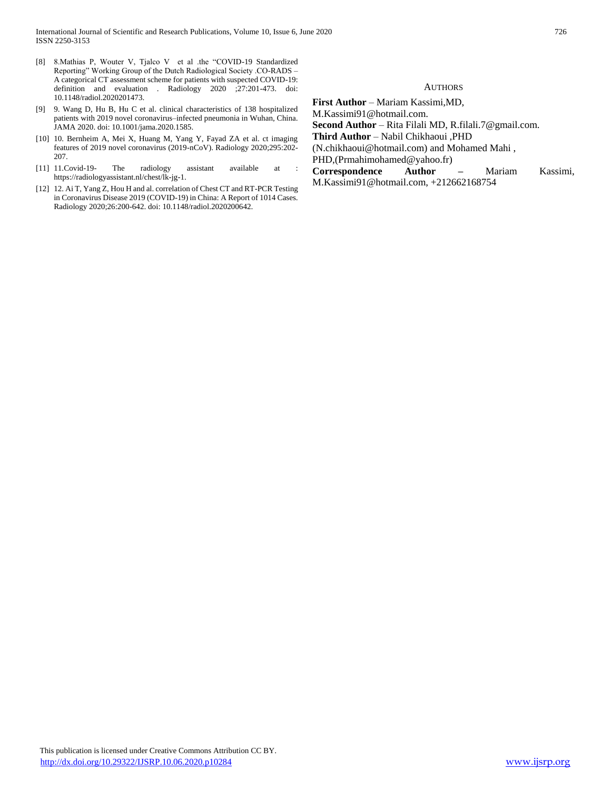- [8] 8.Mathias P, Wouter V, Tjalco V et al .the "COVID-19 Standardized Reporting" Working Group of the Dutch Radiological Society .CO-RADS – A categorical CT assessment scheme for patients with suspected COVID-19: definition and evaluation . Radiology 2020 ;27:201-473. doi: 10.1148/radiol.2020201473.
- [9] 9. Wang D, Hu B, Hu C et al. clinical characteristics of 138 hospitalized patients with 2019 novel coronavirus–infected pneumonia in Wuhan, China. JAMA 2020. doi: 10.1001/jama.2020.1585.
- [10] 10. Bernheim A, Mei X, Huang M, Yang Y, Fayad ZA et al. ct imaging features of 2019 novel coronavirus (2019-nCoV). Radiology 2020;295:202- 207.
- [11] 11.Covid-19- The radiology assistant available at : https://radiologyassistant.nl/chest/lk-jg-1.
- [12] 12. Ai T, Yang Z, Hou H and al. correlation of Chest CT and RT-PCR Testing in Coronavirus Disease 2019 (COVID-19) in China: A Report of 1014 Cases. Radiology 2020;26:200-642. doi: 10.1148/radiol.2020200642.

#### **AUTHORS**

- **First Author**  Mariam Kassimi,MD, M.Kassimi91@hotmail.com.
- **Second Author**  Rita Filali MD, R.filali.7@gmail.com.
- **Third Author**  Nabil Chikhaoui ,PHD
- (N.chikhaoui@hotmail.com) and Mohamed Mahi ,
- PHD,(Prmahimohamed@yahoo.fr)
- **Correspondence Author –** Mariam Kassimi, M.Kassimi91@hotmail.com, +212662168754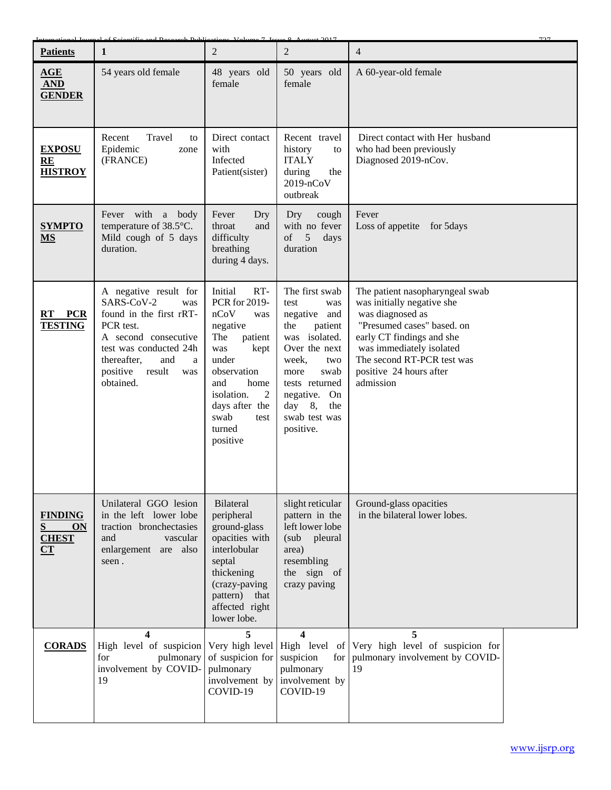| <b>Patients</b>                                 | $\mathbf{1}$                                                                                                                                                                                              | $\overline{2}$                                                                                                                                                                                                | $\overline{2}$                                                                                                                                                                                                             | 707<br>$\overline{4}$                                                                                                                                                                                                                          |  |
|-------------------------------------------------|-----------------------------------------------------------------------------------------------------------------------------------------------------------------------------------------------------------|---------------------------------------------------------------------------------------------------------------------------------------------------------------------------------------------------------------|----------------------------------------------------------------------------------------------------------------------------------------------------------------------------------------------------------------------------|------------------------------------------------------------------------------------------------------------------------------------------------------------------------------------------------------------------------------------------------|--|
| AGE<br><b>AND</b><br><b>GENDER</b>              | 54 years old female                                                                                                                                                                                       | 48 years old<br>female                                                                                                                                                                                        | 50 years old<br>female                                                                                                                                                                                                     | A 60-year-old female                                                                                                                                                                                                                           |  |
| <b>EXPOSU</b><br>RE<br><b>HISTROY</b>           | Travel<br>Recent<br>to<br>Epidemic<br>zone<br>(FRANCE)                                                                                                                                                    | Direct contact<br>with<br>Infected<br>Patient(sister)                                                                                                                                                         | Recent travel<br>history<br>to<br><b>ITALY</b><br>during<br>the<br>2019-nCoV<br>outbreak                                                                                                                                   | Direct contact with Her husband<br>who had been previously<br>Diagnosed 2019-nCov.                                                                                                                                                             |  |
| <b>SYMPTO</b><br><b>MS</b>                      | Fever with a body<br>temperature of 38.5°C.<br>Mild cough of 5 days<br>duration.                                                                                                                          | Fever<br>Dry<br>throat<br>and<br>difficulty<br>breathing<br>during 4 days.                                                                                                                                    | cough<br>Dry<br>with no fever<br>5 <sup>5</sup><br>of<br>days<br>duration                                                                                                                                                  | Fever<br>Loss of appetite for 5days                                                                                                                                                                                                            |  |
| RT PCR<br><b>TESTING</b>                        | A negative result for<br>SARS-CoV-2<br>was<br>found in the first rRT-<br>PCR test.<br>A second consecutive<br>test was conducted 24h<br>thereafter,<br>and<br>a<br>positive<br>result<br>was<br>obtained. | RT-<br>Initial<br>PCR for 2019-<br>nCoV<br>was<br>negative<br>The<br>patient<br>kept<br>was<br>under<br>observation<br>and<br>home<br>isolation.<br>2<br>days after the<br>swab<br>test<br>turned<br>positive | The first swab<br>test<br>was<br>negative<br>and<br>the<br>patient<br>was isolated.<br>Over the next<br>week,<br>two<br>swab<br>more<br>tests returned<br>negative.<br>On<br>$day$ 8,<br>the<br>swab test was<br>positive. | The patient nasopharyngeal swab<br>was initially negative she<br>was diagnosed as<br>"Presumed cases" based. on<br>early CT findings and she<br>was immediately isolated<br>The second RT-PCR test was<br>positive 24 hours after<br>admission |  |
| <b>FINDING</b><br>S<br>ON<br><b>CHEST</b><br>CT | Unilateral GGO lesion<br>in the left lower lobe<br>traction bronchectasies<br>and<br>vascular<br>enlargement are also<br>seen.                                                                            | Bilateral<br>peripheral<br>ground-glass<br>opacities with<br>interlobular<br>septal<br>thickening<br>(crazy-paving<br>pattern)<br>that<br>affected right<br>lower lobe.                                       | slight reticular<br>pattern in the<br>left lower lobe<br>(sub)<br>pleural<br>area)<br>resembling<br>the sign of<br>crazy paving                                                                                            | Ground-glass opacities<br>in the bilateral lower lobes.                                                                                                                                                                                        |  |
| <b>CORADS</b>                                   | 4<br>High level of suspicion<br>pulmonary<br>for<br>involvement by COVID-<br>19                                                                                                                           | 5<br>of suspicion for<br>pulmonary<br>involvement by<br>COVID-19                                                                                                                                              | 4<br>Very high level High level of<br>suspicion<br>for<br>pulmonary<br>involvement by<br>COVID-19                                                                                                                          | 5<br>Very high level of suspicion for<br>pulmonary involvement by COVID-<br>19                                                                                                                                                                 |  |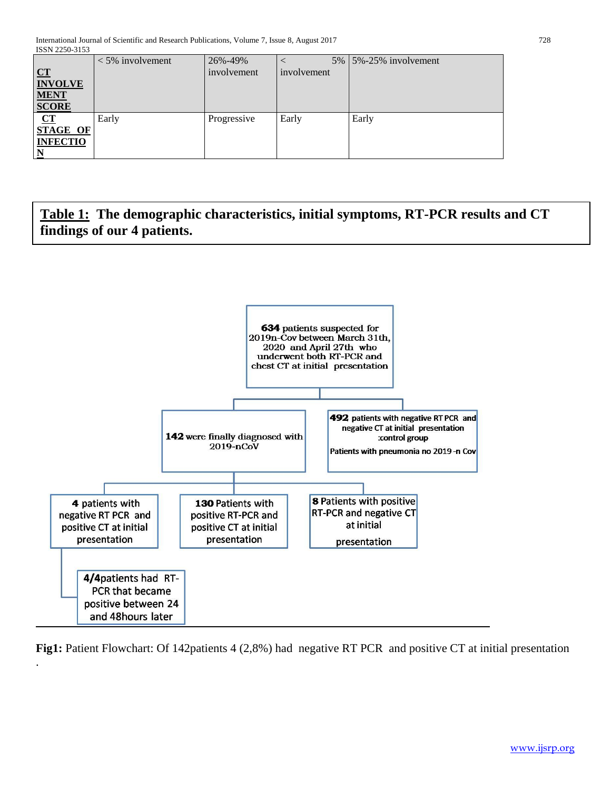|                 | $<$ 5% involvement | 26%-49%     | $5\%$       | 5%-25% involvement |
|-----------------|--------------------|-------------|-------------|--------------------|
| CT              |                    | involvement | involvement |                    |
| <b>INVOLVE</b>  |                    |             |             |                    |
| <b>MENT</b>     |                    |             |             |                    |
| <b>SCORE</b>    |                    |             |             |                    |
| CT              | Early              | Progressive | Early       | Early              |
| <b>STAGE OF</b> |                    |             |             |                    |
| <b>INFECTIO</b> |                    |             |             |                    |
|                 |                    |             |             |                    |

**Table 1: The demographic characteristics, initial symptoms, RT-PCR results and CT findings of our 4 patients.**



.

**Fig1:** Patient Flowchart: Of 142patients 4 (2,8%) had negative RT PCR and positive CT at initial presentation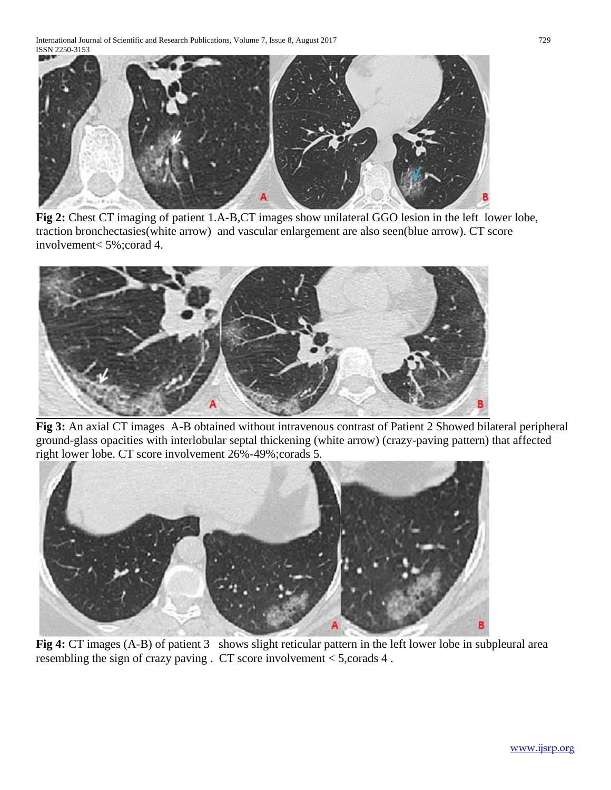International Journal of Scientific and Research Publications, Volume 7, Issue 8, August 2017 729 ISSN 2250-3153



**Fig 2:** Chest CT imaging of patient 1.A-B,CT images show unilateral GGO lesion in the left lower lobe, traction bronchectasies(white arrow) and vascular enlargement are also seen(blue arrow). CT score involvement< 5%;corad 4.



**Fig 3:** An axial CT images A-B obtained without intravenous contrast of Patient 2 Showed bilateral peripheral ground-glass opacities with interlobular septal thickening (white arrow) (crazy-paving pattern) that affected right lower lobe. CT score involvement 26%-49%;corads 5.



**Fig 4:** CT images (A-B) of patient 3 shows slight reticular pattern in the left lower lobe in subpleural area resembling the sign of crazy paving . CT score involvement < 5,corads 4 .